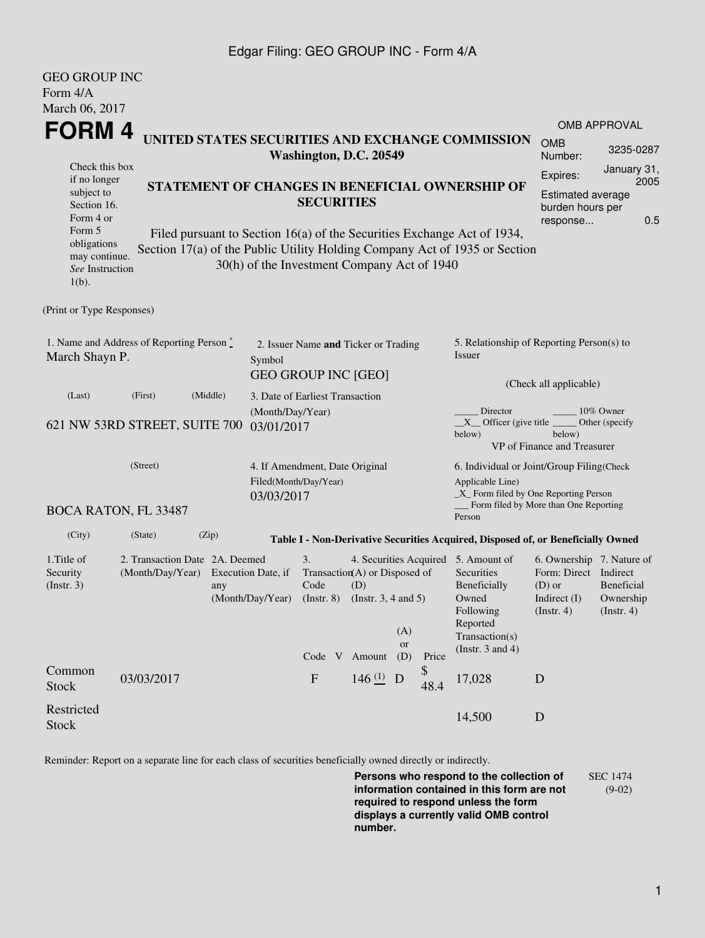### Edgar Filing: GEO GROUP INC - Form 4/A

| <b>GEO GROUP INC</b>                                                                                                                  |                                                                                        |                                                                                        |                                                                    |                                      |                           |                                                                                                                       |                                                                                                    |                                                    |  |
|---------------------------------------------------------------------------------------------------------------------------------------|----------------------------------------------------------------------------------------|----------------------------------------------------------------------------------------|--------------------------------------------------------------------|--------------------------------------|---------------------------|-----------------------------------------------------------------------------------------------------------------------|----------------------------------------------------------------------------------------------------|----------------------------------------------------|--|
| Form $4/A$                                                                                                                            |                                                                                        |                                                                                        |                                                                    |                                      |                           |                                                                                                                       |                                                                                                    |                                                    |  |
| March 06, 2017                                                                                                                        |                                                                                        | <b>OMB APPROVAL</b>                                                                    |                                                                    |                                      |                           |                                                                                                                       |                                                                                                    |                                                    |  |
| <b>FORM4</b>                                                                                                                          | UNITED STATES SECURITIES AND EXCHANGE COMMISSION<br><b>OMB</b><br>Number:              | 3235-0287                                                                              |                                                                    |                                      |                           |                                                                                                                       |                                                                                                    |                                                    |  |
| Check this box<br>if no longer<br>subject to<br>Section 16.<br>Form 4 or<br>Form 5<br>obligations<br>may continue.<br>See Instruction | Expires:<br>Section 17(a) of the Public Utility Holding Company Act of 1935 or Section | January 31,<br>2005<br><b>Estimated average</b><br>burden hours per<br>0.5<br>response |                                                                    |                                      |                           |                                                                                                                       |                                                                                                    |                                                    |  |
| $1(b)$ .                                                                                                                              |                                                                                        |                                                                                        |                                                                    |                                      |                           |                                                                                                                       |                                                                                                    |                                                    |  |
| (Print or Type Responses)                                                                                                             |                                                                                        |                                                                                        |                                                                    |                                      |                           |                                                                                                                       |                                                                                                    |                                                    |  |
| March Shayn P.                                                                                                                        | 1. Name and Address of Reporting Person $\stackrel{*}{\mathbb{L}}$                     | Symbol                                                                                 | 2. Issuer Name and Ticker or Trading<br><b>GEO GROUP INC [GEO]</b> |                                      |                           | 5. Relationship of Reporting Person(s) to<br>Issuer<br>(Check all applicable)                                         |                                                                                                    |                                                    |  |
| (Last)                                                                                                                                | (First)                                                                                | (Middle)                                                                               | 3. Date of Earliest Transaction                                    |                                      |                           |                                                                                                                       |                                                                                                    |                                                    |  |
|                                                                                                                                       | 621 NW 53RD STREET, SUITE 700                                                          | 03/01/2017                                                                             | (Month/Day/Year)                                                   |                                      |                           | Director<br>$X$ Officer (give title $\overline{\phantom{a}}$<br>below)                                                | below)<br>VP of Finance and Treasurer                                                              | 10% Owner<br>Other (specify                        |  |
|                                                                                                                                       | (Street)                                                                               | 03/03/2017                                                                             | 4. If Amendment, Date Original<br>Filed(Month/Day/Year)            |                                      |                           | 6. Individual or Joint/Group Filing(Check<br>Applicable Line)<br>$\_X$ Form filed by One Reporting Person             |                                                                                                    |                                                    |  |
|                                                                                                                                       | <b>BOCA RATON, FL 33487</b>                                                            |                                                                                        |                                                                    |                                      |                           | Person                                                                                                                | Form filed by More than One Reporting                                                              |                                                    |  |
| (City)                                                                                                                                | (State)                                                                                | (Zip)                                                                                  |                                                                    |                                      |                           | Table I - Non-Derivative Securities Acquired, Disposed of, or Beneficially Owned                                      |                                                                                                    |                                                    |  |
| 1. Title of<br>Security<br>$($ Instr. 3 $)$                                                                                           | 2. Transaction Date 2A. Deemed<br>(Month/Day/Year) Execution Date, if                  | any<br>(Month/Day/Year) (Instr. 8) (Instr. 3, 4 and 5)                                 | 3.<br>Code                                                         | Transaction(A) or Disposed of<br>(D) | (A)                       | 4. Securities Acquired 5. Amount of<br>Securities<br>Beneficially<br>Owned<br>Following<br>Reported<br>Transaction(s) | 6. Ownership 7. Nature of<br>Form: Direct Indirect<br>$(D)$ or<br>Indirect (I)<br>$($ Instr. 4 $)$ | <b>Beneficial</b><br>Ownership<br>$($ Instr. 4 $)$ |  |
|                                                                                                                                       |                                                                                        |                                                                                        |                                                                    | Code V Amount                        | <b>or</b><br>(D)<br>Price | (Instr. $3$ and $4$ )                                                                                                 |                                                                                                    |                                                    |  |
| Common<br><b>Stock</b>                                                                                                                | 03/03/2017                                                                             |                                                                                        | $\mathbf{F}$                                                       | 146 $(1)$ D                          | \$<br>48.4                | 17,028                                                                                                                | D                                                                                                  |                                                    |  |
| Restricted<br><b>Stock</b>                                                                                                            |                                                                                        |                                                                                        |                                                                    |                                      |                           | 14,500                                                                                                                | D                                                                                                  |                                                    |  |

Reminder: Report on a separate line for each class of securities beneficially owned directly or indirectly.

**Persons who respond to the collection of information contained in this form are not required to respond unless the form displays a currently valid OMB control number.** SEC 1474 (9-02)